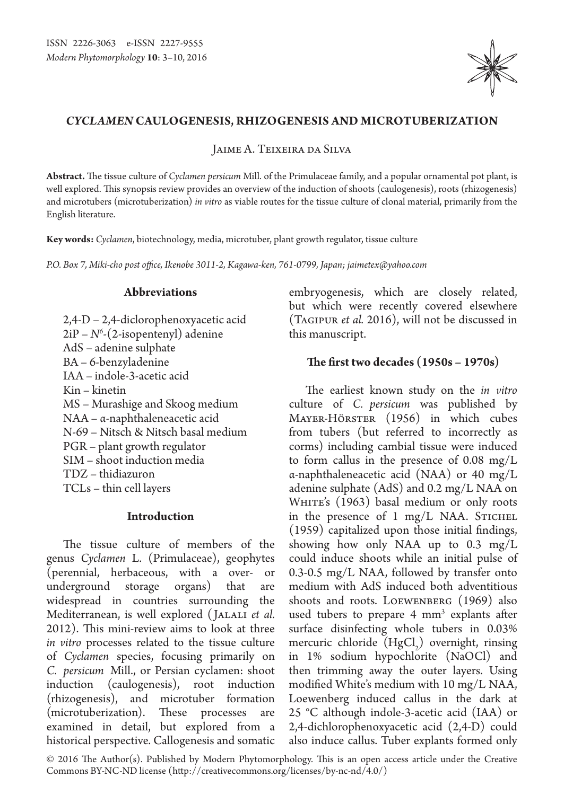

# *Cyclamen* **caulogenesis, rhizogenesis and microtuberization**

Jaime A. Teixeira da Silva

**Abstract.** The tissue culture of *Cyclamen persicum* Mill. of the Primulaceae family, and a popular ornamental pot plant, is well explored. This synopsis review provides an overview of the induction of shoots (caulogenesis), roots (rhizogenesis) and microtubers (microtuberization) *in vitro* as viable routes for the tissue culture of clonal material, primarily from the English literature.

**Key words:** *Cyclamen*, biotechnology, media, microtuber, plant growth regulator, tissue culture

*P.O. Box 7, Miki-cho post office, Ikenobe 3011-2, Kagawa-ken, 761-0799, Japan; jaimetex@yahoo.com*

## **Abbreviations**

2,4-D – 2,4-diclorophenoxyacetic acid 2iP – *N6* -(2-isopentenyl) adenine AdS – adenine sulphate BA – 6-benzyladenine IAA – indole-3-acetic acid Kin – kinetin MS – Murashige and Skoog medium NAA – α-naphthaleneacetic acid N-69 – Nitsch & Nitsch basal medium PGR – plant growth regulator SIM – shoot induction media TDZ – thidiazuron TCLs – thin cell layers

## **Introduction**

The tissue culture of members of the genus *Cyclamen* L. (Primulaceae), geophytes (perennial, herbaceous, with a over- or underground storage organs) that are widespread in countries surrounding the Mediterranean, is well explored (JALALI et al. 2012). This mini-review aims to look at three *in vitro* processes related to the tissue culture of *Cyclamen* species, focusing primarily on *C. persicum* Mill., or Persian cyclamen: shoot induction (caulogenesis), root induction (rhizogenesis), and microtuber formation (microtuberization). These processes are examined in detail, but explored from a historical perspective. Callogenesis and somatic

embryogenesis, which are closely related, but which were recently covered elsewhere (Tagipur *et al.* 2016), will not be discussed in this manuscript.

# **The first two decades (1950s – 1970s)**

The earliest known study on the *in vitro*  culture of *C. persicum* was published by Mayer-Hörster (1956) in which cubes from tubers (but referred to incorrectly as corms) including cambial tissue were induced to form callus in the presence of 0.08 mg/L α-naphthaleneacetic acid (NAA) or 40 mg/L adenine sulphate (AdS) and 0.2 mg/L NAA on WHITE's (1963) basal medium or only roots in the presence of 1 mg/L NAA. STICHEL (1959) capitalized upon those initial findings, showing how only NAA up to 0.3 mg/L could induce shoots while an initial pulse of 0.3-0.5 mg/L NAA, followed by transfer onto medium with AdS induced both adventitious shoots and roots. Loewenberg (1969) also used tubers to prepare 4 mm<sup>3</sup> explants after surface disinfecting whole tubers in 0.03% mercuric chloride  $(HgCl<sub>2</sub>)$  overnight, rinsing in 1% sodium hypochlorite (NaOCl) and then trimming away the outer layers. Using modified White's medium with 10 mg/L NAA, Loewenberg induced callus in the dark at 25 °C although indole-3-acetic acid (IAA) or 2,4-dichlorophenoxyacetic acid (2,4-D) could also induce callus. Tuber explants formed only

© 2016 The Author(s). Published by Modern Phytomorphology. This is an open access article under the Creative Commons BY-NC-ND license (http://creativecommons.org/licenses/by-nc-nd/4.0/)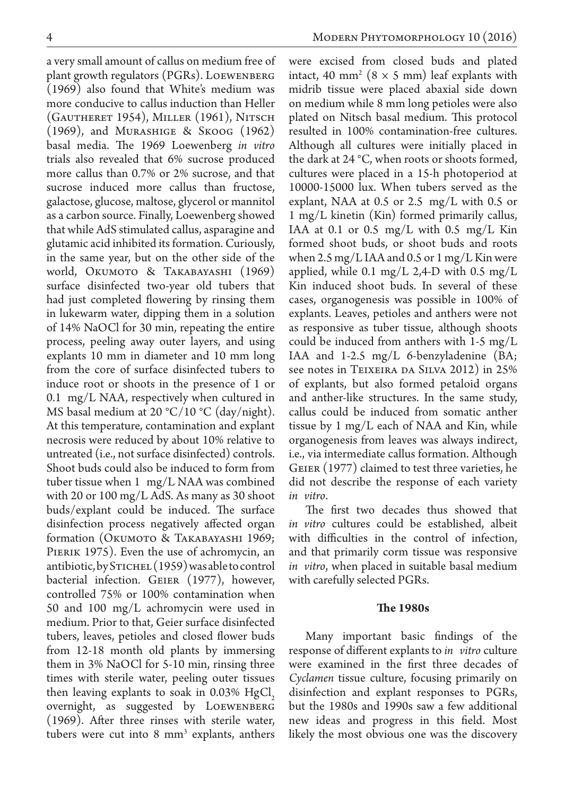a very small amount of callus on medium free of plant growth regulators (PGRs). Loewenberg (1969) also found that White's medium was more conducive to callus induction than Heller (Gautheret 1954), Miller (1961), Nitsch (1969), and Murashige & Skoog (1962) basal media. The 1969 Loewenberg *in vitro*  trials also revealed that 6% sucrose produced more callus than 0.7% or 2% sucrose, and that sucrose induced more callus than fructose, galactose, glucose, maltose, glycerol or mannitol as a carbon source. Finally, Loewenberg showed that while AdS stimulated callus, asparagine and glutamic acid inhibited its formation. Curiously, in the same year, but on the other side of the world, Okumoto & Takabayashi (1969) surface disinfected two-year old tubers that had just completed flowering by rinsing them in lukewarm water, dipping them in a solution of 14% NaOCl for 30 min, repeating the entire process, peeling away outer layers, and using explants 10 mm in diameter and 10 mm long from the core of surface disinfected tubers to induce root or shoots in the presence of 1 or 0.1 mg/L NAA, respectively when cultured in MS basal medium at 20 °C/10 °C (day/night). At this temperature, contamination and explant necrosis were reduced by about 10% relative to untreated (i.e., not surface disinfected) controls. Shoot buds could also be induced to form from tuber tissue when 1 mg/L NAA was combined with 20 or 100 mg/L AdS. As many as 30 shoot buds/explant could be induced. The surface disinfection process negatively affected organ formation (OKUMOTO & TAKABAYASHI 1969; PIERIK 1975). Even the use of achromycin, an antibiotic, by STICHEL (1959) was able to control bacterial infection. GEIER (1977), however, controlled 75% or 100% contamination when 50 and 100 mg/L achromycin were used in medium. Prior to that, Geier surface disinfected tubers, leaves, petioles and closed flower buds from 12-18 month old plants by immersing them in 3% NaOCl for 5-10 min, rinsing three times with sterile water, peeling outer tissues then leaving explants to soak in  $0.03\%$  HgCl<sub>2</sub> overnight, as suggested by Loewenberg (1969). After three rinses with sterile water, tubers were cut into 8 mm<sup>3</sup> explants, anthers were excised from closed buds and plated intact, 40 mm<sup>2</sup> ( $8 \times 5$  mm) leaf explants with midrib tissue were placed abaxial side down on medium while 8 mm long petioles were also plated on Nitsch basal medium. This protocol resulted in 100% contamination-free cultures. Although all cultures were initially placed in the dark at 24 °C, when roots or shoots formed, cultures were placed in a 15-h photoperiod at 10000-15000 lux. When tubers served as the explant, NAA at  $0.5$  or  $2.5$  mg/L with  $0.5$  or 1 mg/L kinetin (Kin) formed primarily callus, IAA at 0.1 or 0.5 mg/L with 0.5 mg/L Kin formed shoot buds, or shoot buds and roots when 2.5 mg/L IAA and 0.5 or 1 mg/L Kin were applied, while 0.1 mg/L 2,4-D with 0.5 mg/L Kin induced shoot buds. In several of these cases, organogenesis was possible in 100% of explants. Leaves, petioles and anthers were not as responsive as tuber tissue, although shoots could be induced from anthers with 1-5 mg/L IAA and 1-2.5 mg/L 6-benzyladenine (BA; see notes in TEIXEIRA DA SILVA 2012) in 25% of explants, but also formed petaloid organs and anther-like structures. In the same study, callus could be induced from somatic anther tissue by 1 mg/L each of NAA and Kin, while organogenesis from leaves was always indirect, i.e., via intermediate callus formation. Although Geier (1977) claimed to test three varieties, he did not describe the response of each variety *in vitro*.

The first two decades thus showed that *in vitro* cultures could be established, albeit with difficulties in the control of infection, and that primarily corm tissue was responsive *in vitro*, when placed in suitable basal medium with carefully selected PGRs.

#### **The 1980s**

Many important basic findings of the response of different explants to *in vitro* culture were examined in the first three decades of *Cyclamen* tissue culture, focusing primarily on disinfection and explant responses to PGRs, but the 1980s and 1990s saw a few additional new ideas and progress in this field. Most likely the most obvious one was the discovery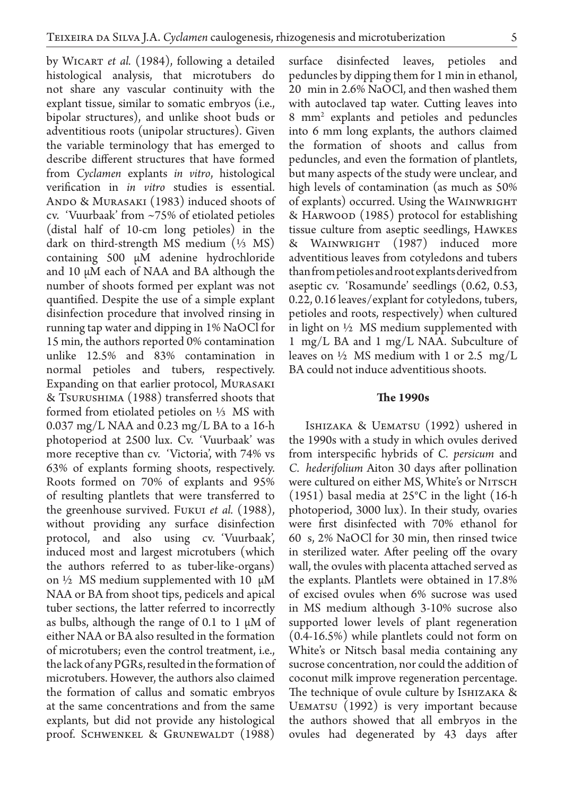by Wicart *et al.* (1984), following a detailed histological analysis, that microtubers do not share any vascular continuity with the explant tissue, similar to somatic embryos (i.e., bipolar structures), and unlike shoot buds or adventitious roots (unipolar structures). Given the variable terminology that has emerged to describe different structures that have formed from *Cyclamen* explants *in vitro*, histological verification in *in vitro* studies is essential. ANDO & MURASAKI (1983) induced shoots of cv. 'Vuurbaak' from ~75% of etiolated petioles (distal half of 10-cm long petioles) in the dark on third-strength MS medium  $(\frac{1}{3}$  MS) containing 500 µM adenine hydrochloride and 10 µM each of NAA and BA although the number of shoots formed per explant was not quantified. Despite the use of a simple explant disinfection procedure that involved rinsing in running tap water and dipping in 1% NaOCl for 15 min, the authors reported 0% contamination unlike 12.5% and 83% contamination in normal petioles and tubers, respectively. Expanding on that earlier protocol, Murasaki & Tsurushima (1988) transferred shoots that formed from etiolated petioles on ⅓ MS with 0.037 mg/L NAA and 0.23 mg/L BA to a 16-h photoperiod at 2500 lux. Сv. 'Vuurbaak' was more receptive than cv. 'Victoria', with 74% vs 63% of explants forming shoots, respectively. Roots formed on 70% of explants and 95% of resulting plantlets that were transferred to the greenhouse survived. Fukui *et al.* (1988), without providing any surface disinfection protocol, and also using cv. 'Vuurbaak', induced most and largest microtubers (which the authors referred to as tuber-like-organs) on  $\frac{1}{2}$  MS medium supplemented with 10  $\mu$ M NAA or BA from shoot tips, pedicels and apical tuber sections, the latter referred to incorrectly as bulbs, although the range of 0.1 to 1  $\mu$ M of either NAA or BA also resulted in the formation of microtubers; even the control treatment, i.e., the lack of any PGRs, resulted in the formation of microtubers. However, the authors also claimed the formation of callus and somatic embryos at the same concentrations and from the same explants, but did not provide any histological proof. SCHWENKEL & GRUNEWALDT (1988) surface disinfected leaves, petioles and peduncles by dipping them for 1 min in ethanol, 20 min in 2.6% NaOCl, and then washed them with autoclaved tap water. Cutting leaves into 8 mm2 explants and petioles and peduncles into 6 mm long explants, the authors claimed the formation of shoots and callus from peduncles, and even the formation of plantlets, but many aspects of the study were unclear, and high levels of contamination (as much as 50% of explants) occurred. Using the WAINWRIGHT & Harwood (1985) protocol for establishing tissue culture from aseptic seedlings, Hawkes & Wainwright (1987) induced more adventitious leaves from cotyledons and tubers than from petioles and root explants derived from aseptic cv. 'Rosamunde' seedlings (0.62, 0.53, 0.22, 0.16 leaves/explant for cotyledons, tubers, petioles and roots, respectively) when cultured in light on ½ MS medium supplemented with 1 mg/L BA and 1 mg/L NAA. Subculture of leaves on  $\frac{1}{2}$  MS medium with 1 or 2.5 mg/L BA could not induce adventitious shoots.

#### **The 1990s**

ISHIZAKA & UEMATSU (1992) ushered in the 1990s with a study in which ovules derived from interspecific hybrids of *C. persicum* and *C. hederifolium* Aiton 30 days after pollination were cultured on either MS, White's or NITSCH (1951) basal media at 25°C in the light (16-h photoperiod, 3000 lux). In their study, ovaries were first disinfected with 70% ethanol for 60 s, 2% NaOCl for 30 min, then rinsed twice in sterilized water. After peeling off the ovary wall, the ovules with placenta attached served as the explants. Plantlets were obtained in 17.8% of excised ovules when 6% sucrose was used in MS medium although 3-10% sucrose also supported lower levels of plant regeneration (0.4-16.5%) while plantlets could not form on White's or Nitsch basal media containing any sucrose concentration, nor could the addition of coconut milk improve regeneration percentage. The technique of ovule culture by Ishizaka & Uematsu (1992) is very important because the authors showed that all embryos in the ovules had degenerated by 43 days after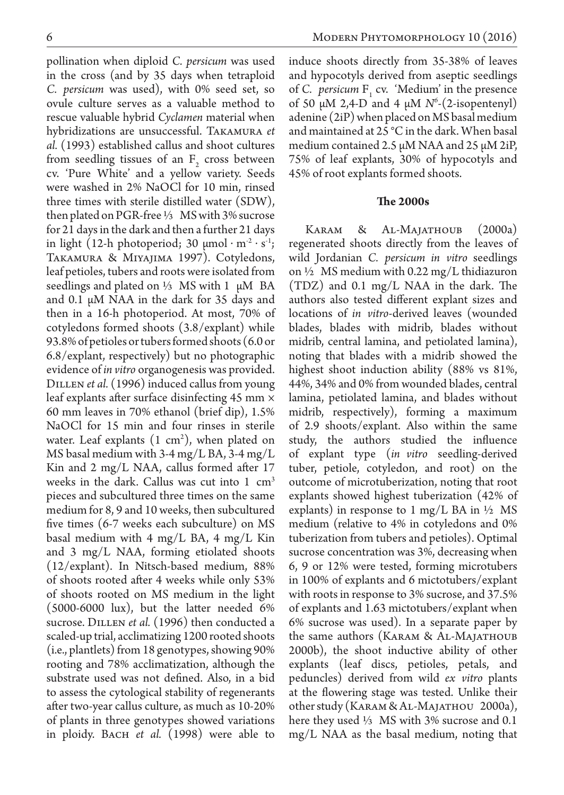pollination when diploid *C. persicum* was used in the cross (and by 35 days when tetraploid *C. persicum* was used), with 0% seed set, so ovule culture serves as a valuable method to rescue valuable hybrid *Cyclamen* material when hybridizations are unsuccessful. Takamura *et al.* (1993) established callus and shoot cultures from seedling tissues of an  $F_2$  cross between cv. 'Pure White' and a yellow variety. Seeds were washed in 2% NaOCl for 10 min, rinsed three times with sterile distilled water (SDW), then plated on PGR-free ⅓ MS with 3% sucrose for 21 days in the dark and then a further 21 days in light (12-h photoperiod; 30  $\mu$ mol · m<sup>2</sup> · s<sup>1</sup>; Takamura & Miyajima 1997). Cotyledons, leaf petioles, tubers and roots were isolated from seedlings and plated on 1⁄3 MS with 1  $\mu$ M BA and 0.1 µM NAA in the dark for 35 days and then in a 16-h photoperiod. At most, 70% of cotyledons formed shoots (3.8/explant) while 93.8% of petioles or tubers formed shoots (6.0 or 6.8/explant, respectively) but no photographic evidence of *in vitro* organogenesis was provided. DILLEN *et al.* (1996) induced callus from young leaf explants after surface disinfecting 45 mm × 60 mm leaves in 70% ethanol (brief dip), 1.5% NaOCl for 15 min and four rinses in sterile water. Leaf explants  $(1 \text{ cm}^2)$ , when plated on MS basal medium with 3-4 mg/L BA, 3-4 mg/L Kin and 2 mg/L NAA, callus formed after 17 weeks in the dark. Callus was cut into  $1 \text{ cm}^3$ pieces and subcultured three times on the same medium for 8, 9 and 10 weeks, then subcultured five times (6-7 weeks each subculture) on MS basal medium with 4 mg/L BA, 4 mg/L Kin and 3 mg/L NAA, forming etiolated shoots (12/explant). In Nitsch-based medium, 88% of shoots rooted after 4 weeks while only 53% of shoots rooted on MS medium in the light (5000-6000 lux), but the latter needed 6% sucrose. DILLEN *et al.* (1996) then conducted a scaled-up trial, acclimatizing 1200 rooted shoots (i.e., plantlets) from 18 genotypes, showing 90% rooting and 78% acclimatization, although the substrate used was not defined. Also, in a bid to assess the cytological stability of regenerants after two-year callus culture, as much as 10-20% of plants in three genotypes showed variations in ploidy. BACH *et al.* (1998) were able to

induce shoots directly from 35-38% of leaves and hypocotyls derived from aseptic seedlings of *C. persicum*  $F_1$  cv. 'Medium' in the presence of 50  $\mu$ M 2,4-D and 4  $\mu$ M  $N^6$ -(2-isopentenyl) adenine (2iP) when placed on MS basal medium and maintained at 25 °C in the dark. When basal medium contained 2.5 µM NAA and 25 µM 2iP, 75% of leaf explants, 30% of hypocotyls and 45% of root explants formed shoots.

## **The 2000s**

KARAM & AL-MAJATHOUB (2000a) regenerated shoots directly from the leaves of wild Jordanian *C. persicum in vitro* seedlings on ½ MS medium with 0.22 mg/L thidiazuron (TDZ) and 0.1 mg/L NAA in the dark. The authors also tested different explant sizes and locations of *in vitro*-derived leaves (wounded blades, blades with midrib, blades without midrib, central lamina, and petiolated lamina), noting that blades with a midrib showed the highest shoot induction ability (88% vs 81%, 44%, 34% and 0% from wounded blades, central lamina, petiolated lamina, and blades without midrib, respectively), forming a maximum of 2.9 shoots/explant. Also within the same study, the authors studied the influence of explant type (*in vitro* seedling-derived tuber, petiole, cotyledon, and root) on the outcome of microtuberization, noting that root explants showed highest tuberization (42% of explants) in response to 1 mg/L BA in  $\frac{1}{2}$  MS medium (relative to 4% in cotyledons and 0% tuberization from tubers and petioles). Optimal sucrose concentration was 3%, decreasing when 6, 9 or 12% were tested, forming microtubers in 100% of explants and 6 mictotubers/explant with roots in response to 3% sucrose, and 37.5% of explants and 1.63 mictotubers/explant when 6% sucrose was used). In a separate paper by the same authors (Karam & Al-Majathoub 2000b), the shoot inductive ability of other explants (leaf discs, petioles, petals, and peduncles) derived from wild *ex vitro* plants at the flowering stage was tested. Unlike their other study (Karam & Al-Majathou 2000a), here they used ⅓ MS with 3% sucrose and 0.1 mg/L NAA as the basal medium, noting that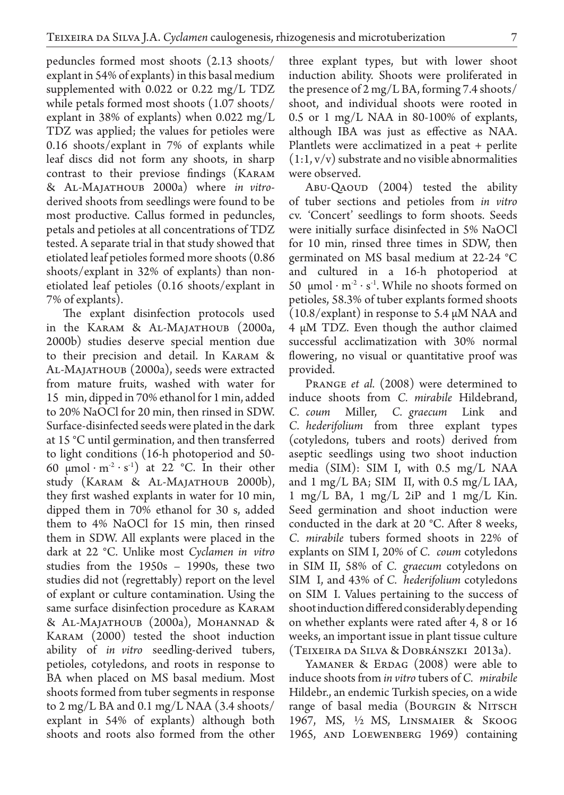peduncles formed most shoots (2.13 shoots/ explant in 54% of explants) in this basal medium supplemented with 0.022 or 0.22 mg/L TDZ while petals formed most shoots (1.07 shoots/ explant in 38% of explants) when  $0.022 \text{ mg/L}$ TDZ was applied; the values for petioles were 0.16 shoots/explant in 7% of explants while leaf discs did not form any shoots, in sharp contrast to their previose findings (Karam & Al-Majathoub 2000a) where *in vitro*derived shoots from seedlings were found to be most productive. Callus formed in peduncles, petals and petioles at all concentrations of TDZ tested. A separate trial in that study showed that etiolated leaf petioles formed more shoots (0.86 shoots/explant in 32% of explants) than nonetiolated leaf petioles (0.16 shoots/explant in 7% of explants).

The explant disinfection protocols used in the Karam & Al-Majathoub (2000a, 2000b) studies deserve special mention due to their precision and detail. In Karam & Al-Majathoub (2000a), seeds were extracted from mature fruits, washed with water for 15 min, dipped in 70% ethanol for 1 min, added to 20% NaOCl for 20 min, then rinsed in SDW. Surface-disinfected seeds were plated in the dark at 15 °C until germination, and then transferred to light conditions (16-h photoperiod and 50- 60  $\mu$ mol · m<sup>2</sup> · s<sup>1</sup>) at 22 °C. In their other study (Karam & Al-Majathoub 2000b), they first washed explants in water for 10 min, dipped them in 70% ethanol for 30 s, added them to 4% NaOCl for 15 min, then rinsed them in SDW. All explants were placed in the dark at 22 °C. Unlike most *Cyclamen in vitro* studies from the 1950s – 1990s, these two studies did not (regrettably) report on the level of explant or culture contamination. Using the same surface disinfection procedure as Karam & Al-Majathoub (2000a), Mohannad & Karam (2000) tested the shoot induction ability of *in vitro* seedling-derived tubers, petioles, cotyledons, and roots in response to BA when placed on MS basal medium. Most shoots formed from tuber segments in response to 2 mg/L BA and 0.1 mg/L NAA (3.4 shoots/ explant in 54% of explants) although both shoots and roots also formed from the other

three explant types, but with lower shoot induction ability. Shoots were proliferated in the presence of 2 mg/L BA, forming 7.4 shoots/ shoot, and individual shoots were rooted in 0.5 or 1 mg/L NAA in 80-100% of explants, although IBA was just as effective as NAA. Plantlets were acclimatized in a peat + perlite  $(1:1, v/v)$  substrate and no visible abnormalities were observed.

Abu-Qaoud (2004) tested the ability of tuber sections and petioles from *in vitro*  cv. 'Concert' seedlings to form shoots. Seeds were initially surface disinfected in 5% NaOCl for 10 min, rinsed three times in SDW, then germinated on MS basal medium at 22-24 °C and cultured in a 16-h photoperiod at 50  $\mu$ mol·m<sup>2</sup>·s<sup>1</sup>. While no shoots formed on petioles, 58.3% of tuber explants formed shoots  $(10.8/exp$  and in response to 5.4  $\mu$ M NAA and 4 µM TDZ. Even though the author claimed successful acclimatization with 30% normal flowering, no visual or quantitative proof was provided.

PRANGE *et al.* (2008) were determined to induce shoots from *C. mirabile* Hildebrand, *C. coum* Miller, *C. graecum* Link and *C. hederifolium* from three explant types (cotyledons, tubers and roots) derived from aseptic seedlings using two shoot induction media (SIM): SIM I, with 0.5 mg/L NAA and 1 mg/L BA; SIM II, with 0.5 mg/L IAA, 1 mg/L BA, 1 mg/L 2iP and 1 mg/L Kin. Seed germination and shoot induction were conducted in the dark at 20 °C. After 8 weeks, *C. mirabile* tubers formed shoots in 22% of explants on SIM I, 20% of *C. coum* cotyledons in SIM II, 58% of *C. graecum* cotyledons on SIM I, and 43% of *C. hederifolium* cotyledons on SIM I. Values pertaining to the success of shoot induction differed considerably depending on whether explants were rated after 4, 8 or 16 weeks, an important issue in plant tissue culture (Teixeira da Silva & Dobránszki 2013a).

YAMANER & ERDAG (2008) were able to induce shoots from *in vitro* tubers of *C. mirabile*  Hildebr., an endemic Turkish species, on a wide range of basal media (Bourgin & Nitsch 1967, MS, ½ MS, Linsmaier & Skoog 1965, and Loewenberg 1969) containing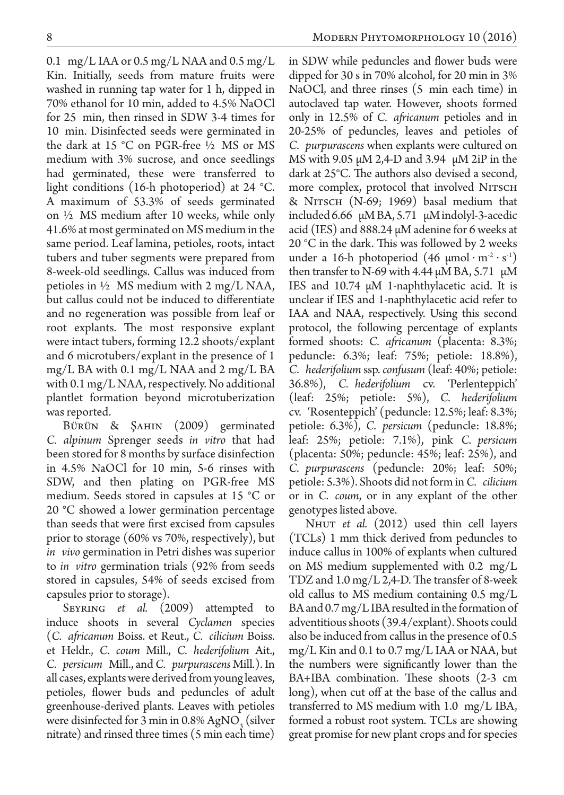0.1 mg/L IAA or 0.5 mg/L NAA and 0.5 mg/L Kin. Initially, seeds from mature fruits were washed in running tap water for 1 h, dipped in 70% ethanol for 10 min, added to 4.5% NaOCl for 25 min, then rinsed in SDW 3-4 times for 10 min. Disinfected seeds were germinated in the dark at 15 °C on PGR-free ½ MS or MS medium with 3% sucrose, and once seedlings had germinated, these were transferred to light conditions (16-h photoperiod) at 24 °C. A maximum of 53.3% of seeds germinated on ½ MS medium after 10 weeks, while only 41.6% at most germinated on MS medium in the same period. Leaf lamina, petioles, roots, intact tubers and tuber segments were prepared from 8-week-old seedlings. Callus was induced from petioles in  $\frac{1}{2}$  MS medium with 2 mg/L NAA, but callus could not be induced to differentiate and no regeneration was possible from leaf or root explants. The most responsive explant were intact tubers, forming 12.2 shoots/explant and 6 microtubers/explant in the presence of 1 mg/L BA with 0.1 mg/L NAA and 2 mg/L BA with 0.1 mg/L NAA, respectively. No additional plantlet formation beyond microtuberization was reported.

Bürün & Şahin (2009) germinated *C. alpinum* Sprenger seeds *in vitro* that had been stored for 8 months by surface disinfection in 4.5% NaOCl for 10 min, 5-6 rinses with SDW, and then plating on PGR-free MS medium. Seeds stored in capsules at 15 °C or 20 °C showed a lower germination percentage than seeds that were first excised from capsules prior to storage (60% vs 70%, respectively), but *in vivo* germination in Petri dishes was superior to *in vitro* germination trials (92% from seeds stored in capsules, 54% of seeds excised from capsules prior to storage).

Seyring *et al.* (2009) attempted to induce shoots in several *Cyclamen* species (*C. africanum* Boiss. et Reut., *C. cilicium* Boiss. et Heldr., *C. coum* Mill., *C. hederifolium* Ait., *C. persicum* Mill., and *C. purpurascens* Mill.). In all cases, explants were derived from young leaves, petioles, flower buds and peduncles of adult greenhouse-derived plants. Leaves with petioles were disinfected for 3 min in  $0.8\%$  AgNO<sub>3</sub> (silver nitrate) and rinsed three times (5 min each time)

in SDW while peduncles and flower buds were dipped for 30 s in 70% alcohol, for 20 min in 3% NaOCl, and three rinses (5 min each time) in autoclaved tap water. However, shoots formed only in 12.5% of *C. africanum* petioles and in 20-25% of peduncles, leaves and petioles of *C. purpurascens* when explants were cultured on MS with 9.05 µM 2,4-D and 3.94 µM 2iP in the dark at 25°C. The authors also devised a second, more complex, protocol that involved NITSCH  $& NITSCH (N-69; 1969)$  basal medium that included 6.66 µM BA, 5.71 µM indolyl-3-acedic acid (IES) and 888.24 µM adenine for 6 weeks at 20 °C in the dark. This was followed by 2 weeks under a 16-h photoperiod  $(46 \text{ \mu mol} \cdot \text{m}^2 \cdot \text{s}^1)$ then transfer to N-69 with 4.44  $\mu$ M BA, 5.71  $\mu$ M IES and 10.74 µM 1-naphthylacetic acid. It is unclear if IES and 1-naphthylacetic acid refer to IAA and NAA, respectively. Using this second protocol, the following percentage of explants formed shoots: *C. africanum* (placenta: 8.3%; peduncle: 6.3%; leaf: 75%; petiole: 18.8%), *C. hederifolium* ssp. *confusum* (leaf: 40%; petiole: 36.8%), *C. hederifolium* cv. 'Perlenteppich' (leaf: 25%; petiole: 5%), *C. hederifolium* cv. 'Rosenteppich' (peduncle: 12.5%; leaf: 8.3%; petiole: 6.3%), *C. persicum* (peduncle: 18.8%; leaf: 25%; petiole: 7.1%), pink *C. persicum* (placenta: 50%; peduncle: 45%; leaf: 25%), and *C. purpurascens* (peduncle: 20%; leaf: 50%; petiole: 5.3%). Shoots did not form in *C. cilicium* or in *C. coum*, or in any explant of the other genotypes listed above.

NHUT *et al.* (2012) used thin cell layers (TCLs) 1 mm thick derived from peduncles to induce callus in 100% of explants when cultured on MS medium supplemented with 0.2 mg/L TDZ and 1.0 mg/L 2,4-D. The transfer of 8-week old callus to MS medium containing 0.5 mg/L BA and 0.7 mg/L IBA resulted in the formation of adventitious shoots (39.4/explant). Shoots could also be induced from callus in the presence of 0.5 mg/L Kin and 0.1 to 0.7 mg/L IAA or NAA, but the numbers were significantly lower than the BA+IBA combination. These shoots (2-3 cm long), when cut off at the base of the callus and transferred to MS medium with 1.0 mg/L IBA, formed a robust root system. TCLs are showing great promise for new plant crops and for species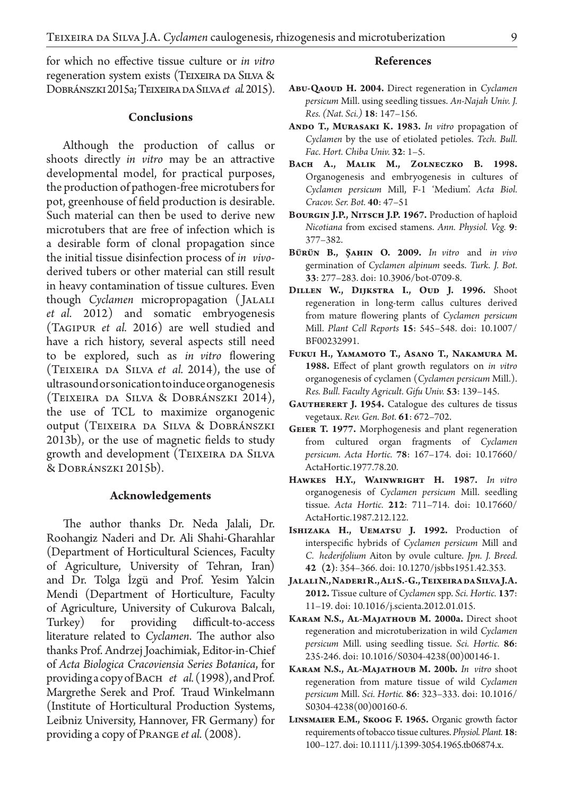for which no effective tissue culture or *in vitro*  regeneration system exists (TEIXEIRA DA SILVA & Dobránszki 2015a; Teixeira da Silva*et al.* 2015).

### **Conclusions**

Although the production of callus or shoots directly *in vitro* may be an attractive developmental model, for practical purposes, the production of pathogen-free microtubers for pot, greenhouse of field production is desirable. Such material can then be used to derive new microtubers that are free of infection which is a desirable form of clonal propagation since the initial tissue disinfection process of *in vivo*derived tubers or other material can still result in heavy contamination of tissue cultures. Even though *Cyclamen* micropropagation ( Jalali *et al.* 2012) and somatic embryogenesis (Tagipur *et al.* 2016) are well studied and have a rich history, several aspects still need to be explored, such as *in vitro* flowering (Teixeira da Silva *et al.* 2014), the use of ultrasound or sonication to induce organogenesis (Teixeira da Silva & Dobránszki 2014), the use of TCL to maximize organogenic output (Teixeira da Silva & Dobránszki 2013b), or the use of magnetic fields to study growth and development (TEIXEIRA DA SILVA & Dobránszki 2015b).

#### **Acknowledgements**

The author thanks Dr. Neda Jalali, Dr. Roohangiz Naderi and Dr. Ali Shahi-Gharahlar (Department of Horticultural Sciences, Faculty of Agriculture, University of Tehran, Iran) and Dr. Tolga İzgü and Prof. Yesim Yalcin Mendi (Department of Horticulture, Faculty of Agriculture, University of Cukurova Balcalı, Turkey) for providing difficult-to-access literature related to *Cyclamen*. The author also thanks Prof. Andrzej Joachimiak, Editor-in-Chief of *Acta Biologica Cracoviensia Series Botanica*, for providing a copy of Bach *et al.* (1998), and Prof. Margrethe Serek and Prof. Traud Winkelmann (Institute of Horticultural Production Systems, Leibniz University, Hannover, FR Germany) for providing a copy of Prange *et al.* (2008).

### **References**

- **Abu-Qaoud H. 2004.** Direct regeneration in *Cyclamen persicum* Mill. using seedling tissues. *An-Najah Univ. J. Res. (Nat. Sci.)* **18**: 147–156.
- ANDO T., MURASAKI K. 1983. In vitro propagation of *Cyclamen* by the use of etiolated petioles. *Tech. Bull. Fac. Hort. Chiba Univ.* **32**: 1–5.
- **Bach A., Malik M., Zolneczko B. 1998.**  Organogenesis and embryogenesis in cultures of *Cyclamen persicum* Mill, F-1 'Medium'. *Acta Biol. Cracov. Ser. Bot.* **40**: 47–51
- **Bourgin J.P., Nitsch J.P. 1967.** Production of haploid *Nicotiana* from excised stamens. *Ann. Physiol. Veg.* **9**: 377–382.
- **Bürün B., Şahin O. 2009.** *In vitro* and *in vivo*  germination of *Cyclamen alpinum* seeds. *Turk. J. Bot.*  **33**: 277–283. doi: 10.3906/bot-0709-8.
- **Dillen W., Dijkstra I., Oud J. 1996.** Shoot regeneration in long-term callus cultures derived from mature flowering plants of *Cyclamen persicum*  Mill. *Plant Cell Reports* **15**: 545–548. doi: 10.1007/ BF00232991.
- **Fukui H., Yamamoto T., Asano T., Nakamura M. 1988.** Effect of plant growth regulators on *in vitro*  organogenesis of cyclamen (*Cyclamen persicum* Mill.). *Res. Bull. Faculty Agricult. Gifu Univ.* **53**: 139–145.
- GAUTHERERT J. 1954. Catalogue des cultures de tissus vegetaux. *Rev. Gen. Bot.* **61**: 672–702.
- **Geier T. 1977.** Morphogenesis and plant regeneration from cultured organ fragments of *Cyclamen persicum. Acta Hortic.* **78**: 167–174. doi: 10.17660/ ActaHortic.1977.78.20.
- **Hawkes H.Y., Wainwright H. 1987.** *In vitro*  organogenesis of *Cyclamen persicum* Mill. seedling tissue. *Acta Hortic.* **212**: 711–714. doi: 10.17660/ ActaHortic.1987.212.122.
- **Ishizaka H., Uematsu J. 1992.** Production of interspecific hybrids of *Cyclamen persicum* Mill and *C. hederifolium* Aiton by ovule culture. *Jpn. J. Breed.*  **42 (2)**: 354–366. doi: 10.1270/jsbbs1951.42.353.
- **Jalali N., Naderi R., Ali S.-G., Teixeira da Silva J.A. 2012.** Tissue culture of *Cyclamen* spp. *Sci. Hortic.* **137**: 11–19. doi: 10.1016/j.scienta.2012.01.015.
- **Karam N.S., Al-Majathoub M. 2000a.** Direct shoot regeneration and microtuberization in wild *Cyclamen persicum* Mill. using seedling tissue. *Sci. Hortic.* **86**: 235-246. doi: 10.1016/S0304-4238(00)00146-1.
- **Karam N.S., Al-Majathoub M. 200b.** *In vitro* shoot regeneration from mature tissue of wild *Cyclamen persicum* Mill. *Sci. Hortic.* **86**: 323–333. doi: 10.1016/ S0304-4238(00)00160-6.
- **Linsmaier E.M., Skoog F. 1965.** Organic growth factor requirements of tobacco tissue cultures. *Physiol. Plant.* **18**: 100–127. doi: 10.1111/j.1399-3054.1965.tb06874.x.